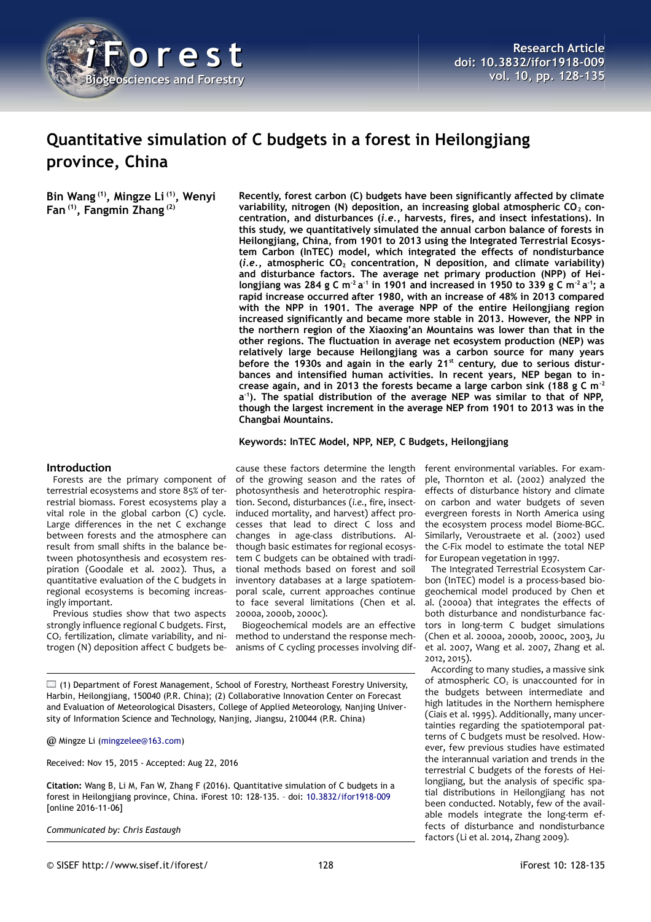

# **Quantitative simulation of C budgets in a forest in Heilongjiang province, China**

**Bin Wang (1), Mingze Li (1), Wenyi Fan (1), Fangmin Zhang (2)**

**Recently, forest carbon (C) budgets have been significantly affected by climate** variability, nitrogen (N) deposition, an increasing global atmospheric CO<sub>2</sub> con**centration, and disturbances (***i.e.***, harvests, fires, and insect infestations). In this study, we quantitatively simulated the annual carbon balance of forests in Heilongjiang, China, from 1901 to 2013 using the Integrated Terrestrial Ecosystem Carbon (InTEC) model, which integrated the effects of nondisturbance (***i.e.***, atmospheric CO2 concentration, N deposition, and climate variability) and disturbance factors. The average net primary production (NPP) of Heilongjiang was 284 g C m-2 a -1 in 1901 and increased in 1950 to 339 g C m-2 a -1; a rapid increase occurred after 1980, with an increase of 48% in 2013 compared with the NPP in 1901. The average NPP of the entire Heilongjiang region increased significantly and became more stable in 2013. However, the NPP in the northern region of the Xiaoxing'an Mountains was lower than that in the other regions. The fluctuation in average net ecosystem production (NEP) was relatively large because Heilongjiang was a carbon source for many years before the 1930s and again in the early 21st century, due to serious disturbances and intensified human activities. In recent years, NEP began to increase again, and in 2013 the forests became a large carbon sink (188 g C m-2 a -1). The spatial distribution of the average NEP was similar to that of NPP, though the largest increment in the average NEP from 1901 to 2013 was in the Changbai Mountains.**

**Keywords: InTEC Model, NPP, NEP, C Budgets, Heilongjiang**

## **Introduction**

Forests are the primary component of terrestrial ecosystems and store 85% of terrestrial biomass. Forest ecosystems play a vital role in the global carbon (C) cycle. Large differences in the net C exchange between forests and the atmosphere can result from small shifts in the balance between photosynthesis and ecosystem respiration (Goodale et al. 2002). Thus, a quantitative evaluation of the C budgets in regional ecosystems is becoming increasingly important.

Previous studies show that two aspects strongly influence regional C budgets. First,  $CO<sub>2</sub>$  fertilization, climate variability, and nitrogen (N) deposition affect C budgets be-

cause these factors determine the length of the growing season and the rates of photosynthesis and heterotrophic respiration. Second, disturbances (*i.e.*, fire, insectinduced mortality, and harvest) affect processes that lead to direct C loss and changes in age-class distributions. Although basic estimates for regional ecosystem C budgets can be obtained with traditional methods based on forest and soil inventory databases at a large spatiotemporal scale, current approaches continue to face several limitations (Chen et al. 2000a, 2000b, 2000c).

Biogeochemical models are an effective method to understand the response mechanisms of C cycling processes involving dif-

 $\Box$  (1) Department of Forest Management, School of Forestry, Northeast Forestry University, Harbin, Heilongjiang, 150040 (P.R. China); (2) Collaborative Innovation Center on Forecast and Evaluation of Meteorological Disasters, College of Applied Meteorology, Nanjing University of Information Science and Technology, Nanjing, Jiangsu, 210044 (P.R. China)

@ Mingze Li [\(mingzelee@163.com\)](mailto:mingzelee@163.com)

Received: Nov 15, 2015 - Accepted: Aug 22, 2016

**Citation:** Wang B, Li M, Fan W, Zhang F (2016). Quantitative simulation of C budgets in a forest in Heilongjiang province, China. iForest 10: 128-135. – doi: [10.3832/ifor1918-009](http://www.sisef.it/iforest/contents/?id=ifor1918-009) [online 2016-11-06]

*Communicated by: Chris Eastaugh*

ple, Thornton et al. (2002) analyzed the effects of disturbance history and climate on carbon and water budgets of seven evergreen forests in North America using the ecosystem process model Biome-BGC. Similarly, Veroustraete et al. (2002) used the C-Fix model to estimate the total NEP for European vegetation in 1997. The Integrated Terrestrial Ecosystem Carbon (InTEC) model is a process-based bio-

geochemical model produced by Chen et al. (2000a) that integrates the effects of both disturbance and nondisturbance factors in long-term C budget simulations (Chen et al. 2000a, 2000b, 2000c, 2003, Ju et al. 2007, Wang et al. 2007, Zhang et al. 2012, 2015).

ferent environmental variables. For exam-

According to many studies, a massive sink of atmospheric  $CO<sub>2</sub>$  is unaccounted for in the budgets between intermediate and high latitudes in the Northern hemisphere (Ciais et al. 1995). Additionally, many uncertainties regarding the spatiotemporal patterns of C budgets must be resolved. However, few previous studies have estimated the interannual variation and trends in the terrestrial C budgets of the forests of Heilongjiang, but the analysis of specific spatial distributions in Heilongjiang has not been conducted. Notably, few of the available models integrate the long-term effects of disturbance and nondisturbance factors (Li et al. 2014, Zhang 2009).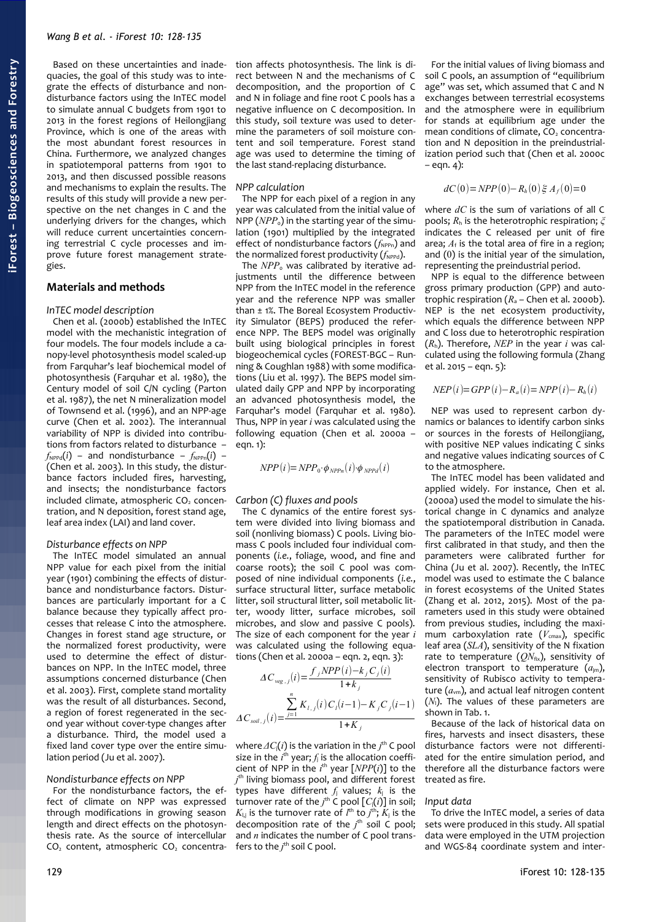Based on these uncertainties and inadequacies, the goal of this study was to integrate the effects of disturbance and nondisturbance factors using the InTEC model to simulate annual C budgets from 1901 to 2013 in the forest regions of Heilongjiang Province, which is one of the areas with the most abundant forest resources in China. Furthermore, we analyzed changes in spatiotemporal patterns from 1901 to 2013, and then discussed possible reasons and mechanisms to explain the results. The results of this study will provide a new perspective on the net changes in C and the underlying drivers for the changes, which will reduce current uncertainties concerning terrestrial C cycle processes and improve future forest management strategies.

## **Materials and methods**

#### *InTEC model description*

Chen et al. (2000b) established the InTEC model with the mechanistic integration of four models. The four models include a canopy-level photosynthesis model scaled-up from Farquhar's leaf biochemical model of photosynthesis (Farquhar et al. 1980), the Century model of soil C/N cycling (Parton et al. 1987), the net N mineralization model of Townsend et al. (1996), and an NPP-age curve (Chen et al. 2002). The interannual variability of NPP is divided into contributions from factors related to disturbance –  $f_{NPPd}(i)$  – and nondisturbance –  $f_{NPPn}(i)$  – (Chen et al. 2003). In this study, the disturbance factors included fires, harvesting, and insects; the nondisturbance factors included climate, atmospheric CO<sub>2</sub> concentration, and N deposition, forest stand age, leaf area index (LAI) and land cover.

### *Disturbance effects on NPP*

The InTEC model simulated an annual NPP value for each pixel from the initial year (1901) combining the effects of disturbance and nondisturbance factors. Disturbances are particularly important for a C balance because they typically affect processes that release C into the atmosphere. Changes in forest stand age structure, or the normalized forest productivity, were used to determine the effect of disturbances on NPP. In the InTEC model, three assumptions concerned disturbance (Chen et al. 2003). First, complete stand mortality was the result of all disturbances. Second, a region of forest regenerated in the second year without cover-type changes after a disturbance. Third, the model used a fixed land cover type over the entire simulation period (Ju et al. 2007).

# *Nondisturbance effects on NPP*

For the nondisturbance factors, the effect of climate on NPP was expressed through modifications in growing season length and direct effects on the photosynthesis rate. As the source of intercellular  $CO<sub>2</sub>$  content, atmospheric  $CO<sub>2</sub>$  concentration affects photosynthesis. The link is direct between N and the mechanisms of C decomposition, and the proportion of C and N in foliage and fine root C pools has a negative influence on C decomposition. In this study, soil texture was used to determine the parameters of soil moisture content and soil temperature. Forest stand age was used to determine the timing of the last stand-replacing disturbance.

#### *NPP calculation*

The NPP for each pixel of a region in any year was calculated from the initial value of NPP  $(NPP<sub>o</sub>)$  in the starting year of the simulation (1901) multiplied by the integrated effect of nondisturbance factors ( $f_{NPPn}$ ) and the normalized forest productivity  $(f_{NPPd})$ .

The *NPP*<sub>o</sub> was calibrated by iterative adjustments until the difference between NPP from the InTEC model in the reference year and the reference NPP was smaller than ± 1%. The Boreal Ecosystem Productivity Simulator (BEPS) produced the reference NPP. The BEPS model was originally built using biological principles in forest biogeochemical cycles (FOREST-BGC – Running & Coughlan 1988) with some modifications (Liu et al. 1997). The BEPS model simulated daily GPP and NPP by incorporating an advanced photosynthesis model, the Farquhar's model (Farquhar et al. 1980). Thus, NPP in year *i* was calculated using the following equation (Chen et al. 2000a –  $ean. 1):$ 

$$
NPP(i) = NPP_0 \cdot \phi_{NPPn}(i) \cdot \phi_{NPPd}(i)
$$

## *Carbon (C) fluxes and pools*

The C dynamics of the entire forest system were divided into living biomass and soil (nonliving biomass) C pools. Living biomass C pools included four individual components (*i.e.*, foliage, wood, and fine and coarse roots); the soil C pool was composed of nine individual components (*i.e.*, surface structural litter, surface metabolic litter, soil structural litter, soil metabolic litter, woody litter, surface microbes, soil microbes, and slow and passive C pools). The size of each component for the year *i* was calculated using the following equations (Chen et al. 2000a – eqn. 2, eqn. 3):

$$
\Delta C_{\text{veg.},j}(i) = \frac{f_j NPP(i) - k_j C_j(i)}{1 + k_j}
$$

$$
\Delta C_{\text{soil.},j}(i) = \frac{\sum_{j=1}^{n} K_{l,j}(i) C_j(i-1) - K_j C_j(i-1)}{1 + K_j}
$$

where  $\varDelta C_{\mathsf{j}}(i)$  is the variation in the  $j^{\mathsf{th}}$  C pool size in the  $i<sup>th</sup>$  year;  $f<sub>i</sub>$  is the allocation coefficient of NPP in the  $i^{\text{th}}$  year  $[NPP(i)]$  to the *j* th living biomass pool, and different forest types have different  $f_i$  values;  $k_i$  is the turnover rate of the  $j^{\text{th}}$  C pool  $[C(i)]$  in soil;  $K_{\mathsf{l},\mathsf{j}}$  is the turnover rate of  $l^{\mathsf{th}}$  to  $j^{\mathsf{th}}$ ;  $K_{\mathsf{j}}$  is the decomposition rate of the  $j<sup>th</sup>$  soil C pool; and *n* indicates the number of C pool transfers to the  $j^{\text{th}}$  soil C pool.

For the initial values of living biomass and soil C pools, an assumption of "equilibrium age" was set, which assumed that C and N exchanges between terrestrial ecosystems and the atmosphere were in equilibrium for stands at equilibrium age under the mean conditions of climate,  $CO<sub>2</sub>$  concentration and N deposition in the preindustrialization period such that (Chen et al. 2000c – eqn. 4):

$$
dC(0) = NPP(0) - R_h(0) \xi A_f(0) = 0
$$

where *dC* is the sum of variations of all C pools; *R*h is the heterotrophic respiration; *ξ* indicates the C released per unit of fire area;  $A_f$  is the total area of fire in a region; and (0) is the initial year of the simulation, representing the preindustrial period.

NPP is equal to the difference between gross primary production (GPP) and autotrophic respiration  $(R_a -$ Chen et al. 2000b). NEP is the net ecosystem productivity, which equals the difference between NPP and C loss due to heterotrophic respiration (*R*h). Therefore, *NEP* in the year *i* was calculated using the following formula (Zhang et al. 2015 – eqn. 5):

$$
NEP(i) = GPP(i) - R_a(i) = NPP(i) - R_h(i)
$$

NEP was used to represent carbon dynamics or balances to identify carbon sinks or sources in the forests of Heilongjiang, with positive NEP values indicating C sinks and negative values indicating sources of C to the atmosphere.

The InTEC model has been validated and applied widely. For instance, Chen et al. (2000a) used the model to simulate the historical change in C dynamics and analyze the spatiotemporal distribution in Canada. The parameters of the InTEC model were first calibrated in that study, and then the parameters were calibrated further for China (Ju et al. 2007). Recently, the InTEC model was used to estimate the C balance in forest ecosystems of the United States (Zhang et al. 2012, 2015). Most of the parameters used in this study were obtained from previous studies, including the maximum carboxylation rate  $(V_{\text{cmax}})$ , specific leaf area (*SLA*), sensitivity of the N fixation rate to temperature  $(QN_{fix})$ , sensitivity of electron transport to temperature  $(a_{im})$ , sensitivity of Rubisco activity to temperature ( $a_{\text{vm}}$ ), and actual leaf nitrogen content (*N*<sub>I</sub>). The values of these parameters are shown in [Tab. 1.](#page-2-0)

Because of the lack of historical data on fires, harvests and insect disasters, these disturbance factors were not differentiated for the entire simulation period, and therefore all the disturbance factors were treated as fire.

#### *Input data*

To drive the InTEC model, a series of data sets were produced in this study. All spatial data were employed in the UTM projection and WGS-84 coordinate system and inter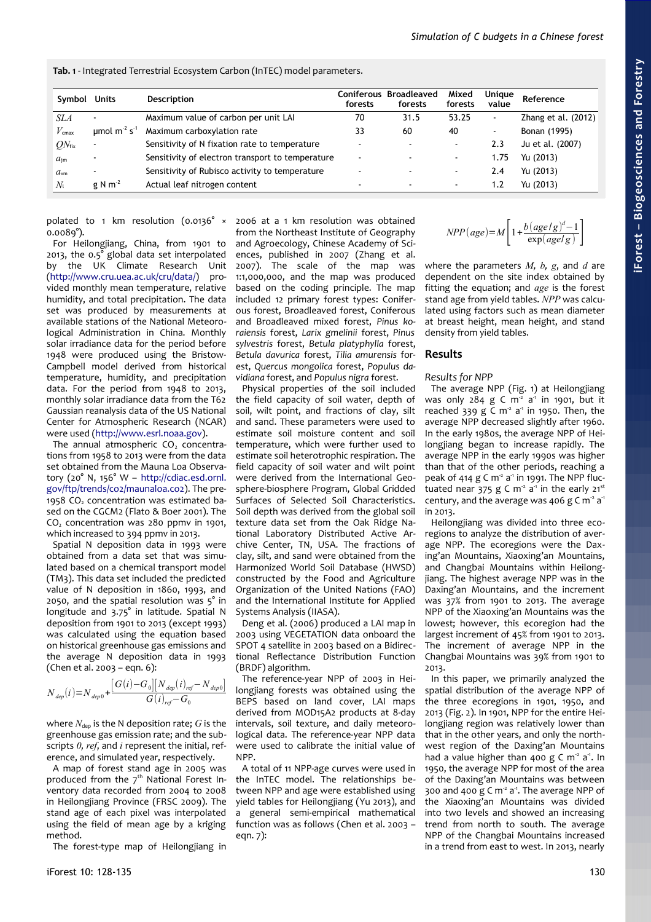<span id="page-2-0"></span>**Tab. 1** - Integrated Terrestrial Ecosystem Carbon (InTEC) model parameters.

| Symbol            | Units                    | Description                                      | Coniferous<br>forests    | <b>Broadleaved</b><br>forests | Mixed<br>forests         | Unique<br>value | Reference           |
|-------------------|--------------------------|--------------------------------------------------|--------------------------|-------------------------------|--------------------------|-----------------|---------------------|
| SLA               | $\blacksquare$           | Maximum value of carbon per unit LAI             | 70                       | 31.5                          | 53.25                    | $\sim$          | Zhang et al. (2012) |
| $V_{\text{cmax}}$ | umol $m^2 s^1$           | Maximum carboxylation rate                       | 33                       | 60                            | 40                       | $\blacksquare$  | Bonan (1995)        |
| $ON_{fix}$        | ٠                        | Sensitivity of N fixation rate to temperature    | $\overline{\phantom{a}}$ |                               | $\blacksquare$           | 2.3             | Ju et al. (2007)    |
| $a_{\rm im}$      | $\overline{\phantom{0}}$ | Sensitivity of electron transport to temperature | $\overline{\phantom{a}}$ | $\sim$                        | $\overline{\phantom{a}}$ | 1.75            | Yu (2013)           |
| $a_{\rm ym}$      | $\overline{\phantom{a}}$ | Sensitivity of Rubisco activity to temperature   | $\overline{\phantom{a}}$ |                               | $\blacksquare$           | 2.4             | Yu (2013)           |
| $N_{1}$           | g N $m-2$                | Actual leaf nitrogen content                     |                          |                               | $\blacksquare$           | 1.2             | Yu (2013)           |

polated to 1 km resolution (0.0136° × 0.0089°).

For Heilongjiang, China, from 1901 to 2013, the 0.5° global data set interpolated by the UK Climate Research Unit [\(http://www.cru.uea.ac.uk/cru/data/\)](http://www.cru.uea.ac.uk/cru/data/) provided monthly mean temperature, relative humidity, and total precipitation. The data set was produced by measurements at available stations of the National Meteorological Administration in China. Monthly solar irradiance data for the period before 1948 were produced using the Bristow-Campbell model derived from historical temperature, humidity, and precipitation data. For the period from 1948 to 2013, monthly solar irradiance data from the T62 Gaussian reanalysis data of the US National Center for Atmospheric Research (NCAR) were used [\(http://www.esrl.noaa.gov\)](http://www.esrl.noaa.gov/).

The annual atmospheric  $CO<sub>2</sub>$  concentrations from 1958 to 2013 were from the data set obtained from the Mauna Loa Observatory (20° N, 156° W – [http://cdiac.esd.ornl.](http://cdiac.esd.ornl.gov/ftp/trends/co2/maunaloa.co2) [gov/ftp/trends/co2/maunaloa.co2\)](http://cdiac.esd.ornl.gov/ftp/trends/co2/maunaloa.co2). The pre-1958 CO<sub>2</sub> concentration was estimated based on the CGCM2 (Flato & Boer 2001). The CO<sub>2</sub> concentration was 280 ppmy in 1901. which increased to 394 ppmv in 2013.

Spatial N deposition data in 1993 were obtained from a data set that was simulated based on a chemical transport model (TM3). This data set included the predicted value of N deposition in 1860, 1993, and 2050, and the spatial resolution was 5° in longitude and 3.75° in latitude. Spatial N deposition from 1901 to 2013 (except 1993) was calculated using the equation based on historical greenhouse gas emissions and the average N deposition data in 1993 (Chen et al. 2003 – eqn. 6):

$$
N_{\it dep}(i)=N_{\it dep0}+\frac{ \left[G\left(i\right)-G_0\right]\left[N_{\it dep}\left(i\right)_{\it ref}-N_{\it dep0}\right]}{G\left(i\right)_{\it ref}-G_0}
$$

where  $N_{\text{dep}}$  is the N deposition rate;  $G$  is the greenhouse gas emission rate; and the subscripts *0, ref*, and *i* represent the initial, reference, and simulated year, respectively.

A map of forest stand age in 2005 was produced from the  $7<sup>th</sup>$  National Forest Inventory data recorded from 2004 to 2008 in Heilongjiang Province (FRSC 2009). The stand age of each pixel was interpolated using the field of mean age by a kriging method.

The forest-type map of Heilongjiang in

2006 at a 1 km resolution was obtained from the Northeast Institute of Geography and Agroecology, Chinese Academy of Sciences, published in 2007 (Zhang et al. 2007). The scale of the map was 1:1,000,000, and the map was produced based on the coding principle. The map included 12 primary forest types: Coniferous forest, Broadleaved forest, Coniferous and Broadleaved mixed forest, *Pinus koraiensis* forest, *Larix gmelinii* forest, *Pinus sylvestris* forest, *Betula platyphylla* forest, *Betula davurica* forest, *Tilia amurensis* forest, *Quercus mongolica* forest, *Populus davidiana* forest, and *Populus nigra* forest.

Physical properties of the soil included the field capacity of soil water, depth of soil, wilt point, and fractions of clay, silt and sand. These parameters were used to estimate soil moisture content and soil temperature, which were further used to estimate soil heterotrophic respiration. The field capacity of soil water and wilt point were derived from the International Geosphere-biosphere Program, Global Gridded Surfaces of Selected Soil Characteristics. Soil depth was derived from the global soil texture data set from the Oak Ridge National Laboratory Distributed Active Archive Center, TN, USA. The fractions of clay, silt, and sand were obtained from the Harmonized World Soil Database (HWSD) constructed by the Food and Agriculture Organization of the United Nations (FAO) and the International Institute for Applied Systems Analysis (IIASA).

Deng et al. (2006) produced a LAI map in 2003 using VEGETATION data onboard the SPOT 4 satellite in 2003 based on a Bidirectional Reflectance Distribution Function (BRDF) algorithm.

The reference-year NPP of 2003 in Heilongjiang forests was obtained using the BEPS based on land cover, LAI maps derived from MOD15A2 products at 8-day intervals, soil texture, and daily meteorological data. The reference-year NPP data were used to calibrate the initial value of NPP.

A total of 11 NPP-age curves were used in the InTEC model. The relationships between NPP and age were established using yield tables for Heilongjiang (Yu 2013), and a general semi-empirical mathematical function was as follows (Chen et al. 2003 – eqn. 7):

$$
NPP \left( age \right) {=} M \Bigg[ 1 {+} \frac{b \left( age \left/ g \right) ^{d} {-} 1}{\exp \left( age \left/ g \right) } \Bigg]
$$

where the parameters  $M$ ,  $b$ ,  $g$ , and  $d$  are dependent on the site index obtained by fitting the equation; and *age* is the forest stand age from yield tables. *NPP* was calculated using factors such as mean diameter at breast height, mean height, and stand density from yield tables.

## **Results**

## *Results for NPP*

The average NPP [\(Fig. 1\)](#page-3-1) at Heilongjiang was only  $284$  g C m<sup>2</sup> a<sup>4</sup> in 1901, but it reached 339 g C  $m^2$  a<sup>1</sup> in 1950. Then, the average NPP decreased slightly after 1960. In the early 1980s, the average NPP of Heilongjiang began to increase rapidly. The average NPP in the early 1990s was higher than that of the other periods, reaching a peak of 414 g C  $m<sup>2</sup> a<sup>1</sup>$  in 1991. The NPP fluctuated near 375 g C m<sup>2</sup> a<sup>-1</sup> in the early 21<sup>st</sup> century, and the average was 406 g C  $m<sup>2</sup> a<sup>1</sup>$ in 2013.

Heilongjiang was divided into three ecoregions to analyze the distribution of average NPP. The ecoregions were the Daxing'an Mountains, Xiaoxing'an Mountains, and Changbai Mountains within Heilongjiang. The highest average NPP was in the Daxing'an Mountains, and the increment was 37% from 1901 to 2013. The average NPP of the Xiaoxing'an Mountains was the lowest; however, this ecoregion had the largest increment of 45% from 1901 to 2013. The increment of average NPP in the Changbai Mountains was 39% from 1901 to 2013.

In this paper, we primarily analyzed the spatial distribution of the average NPP of the three ecoregions in 1901, 1950, and 2013 [\(Fig. 2\)](#page-3-0). In 1901, NPP for the entire Heilongjiang region was relatively lower than that in the other years, and only the northwest region of the Daxing'an Mountains had a value higher than 400 g C  $m^2$  a<sup>-1</sup>. In 1950, the average NPP for most of the area of the Daxing'an Mountains was between 300 and 400 g C  $m^2$  a<sup>-1</sup>. The average NPP of the Xiaoxing'an Mountains was divided into two levels and showed an increasing trend from north to south. The average NPP of the Changbai Mountains increased in a trend from east to west. In 2013, nearly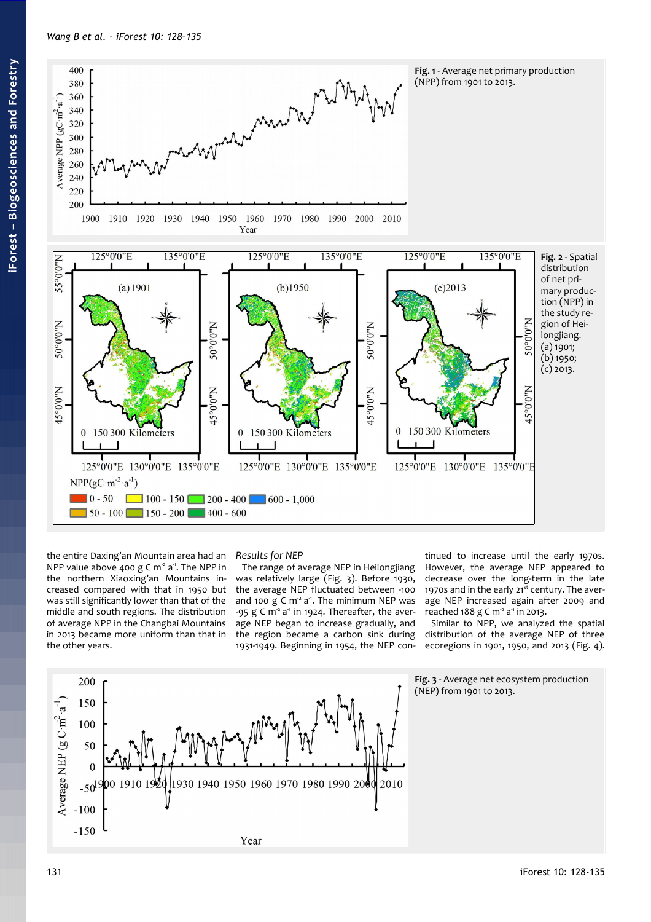<span id="page-3-1"></span>

the entire Daxing'an Mountain area had an NPP value above 400 g C  $m<sup>2</sup>$  a<sup>-1</sup>. The NPP in the northern Xiaoxing'an Mountains increased compared with that in 1950 but was still significantly lower than that of the middle and south regions. The distribution of average NPP in the Changbai Mountains in 2013 became more uniform than that in the other years.

# *Results for NEP*

The range of average NEP in Heilongjiang was relatively large [\(Fig. 3\)](#page-3-2). Before 1930, the average NEP fluctuated between -100 and 100  $g \text{ C m}^2$  a<sup>-1</sup>. The minimum NEP was -95  $g \text{ C m}^2$  a<sup>1</sup> in 1924. Thereafter, the average NEP began to increase gradually, and the region became a carbon sink during 1931-1949. Beginning in 1954, the NEP con-

<span id="page-3-0"></span>tinued to increase until the early 1970s. However, the average NEP appeared to decrease over the long-term in the late 1970s and in the early  $21<sup>st</sup>$  century. The average NEP increased again after 2009 and reached 188 g C m<sup>2</sup> a<sup>-1</sup> in 2013.

<span id="page-3-2"></span>Similar to NPP, we analyzed the spatial distribution of the average NEP of three ecoregions in 1901, 1950, and 2013 [\(Fig. 4\)](#page-4-0).

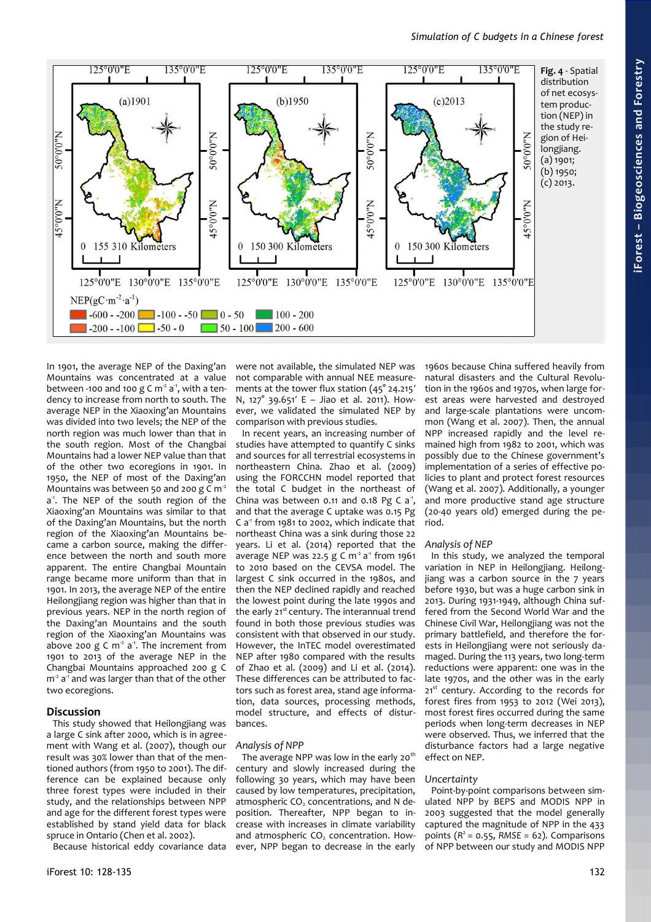

In 1901, the average NEP of the Daxing'an Mountains was concentrated at a value between -100 and 100 g C  $m<sup>2</sup>$  a<sup>-1</sup>, with a tendency to increase from north to south. The average NEP in the Xiaoxing'an Mountains was divided into two levels; the NEP of the north region was much lower than that in the south region. Most of the Changbai Mountains had a lower NEP value than that of the other two ecoregions in 1901. In 1950, the NEP of most of the Daxing'an Mountains was between 50 and 200  $g \text{ C m}^2$ a -1. The NEP of the south region of the Xiaoxing'an Mountains was similar to that of the Daxing'an Mountains, but the north region of the Xiaoxing'an Mountains became a carbon source, making the difference between the north and south more apparent. The entire Changbai Mountain range became more uniform than that in 1901. In 2013, the average NEP of the entire Heilongjiang region was higher than that in previous years. NEP in the north region of the Daxing'an Mountains and the south region of the Xiaoxing'an Mountains was above 200 g C  $m^2$  a<sup>-1</sup>. The increment from 1901 to 2013 of the average NEP in the Changbai Mountains approached 200 g C  $m^2 a^1$  and was larger than that of the other two ecoregions.

## **Discussion**

This study showed that Heilongjiang was a large C sink after 2000, which is in agreement with Wang et al. (2007), though our result was 30% lower than that of the mentioned authors (from 1950 to 2001). The difference can be explained because only three forest types were included in their study, and the relationships between NPP and age for the different forest types were established by stand yield data for black spruce in Ontario (Chen et al. 2002).

Because historical eddy covariance data

were not available, the simulated NEP was not comparable with annual NEE measurements at the tower flux station (45° 24.215′ N, 127° 39.651′ E – Jiao et al. 2011). However, we validated the simulated NEP by comparison with previous studies.

In recent years, an increasing number of studies have attempted to quantify C sinks and sources for all terrestrial ecosystems in northeastern China. Zhao et al. (2009) using the FORCCHN model reported that the total C budget in the northeast of China was between 0.11 and 0.18 Pg C  $a^1$ , and that the average C uptake was 0.15 Pg  $C a<sup>1</sup>$  from 1981 to 2002, which indicate that northeast China was a sink during those 22 years. Li et al. (2014) reported that the average NEP was 22.5  $g \text{ C m}^2$  a<sup>1</sup> from 1961 to 2010 based on the CEVSA model. The largest C sink occurred in the 1980s, and then the NEP declined rapidly and reached the lowest point during the late 1990s and the early 21<sup>st</sup> century. The interannual trend found in both those previous studies was consistent with that observed in our study. However, the InTEC model overestimated NEP after 1980 compared with the results of Zhao et al. (2009) and Li et al. (2014). These differences can be attributed to factors such as forest area, stand age information, data sources, processing methods, model structure, and effects of disturbances.

#### *Analysis of NPP*

The average NPP was low in the early 20<sup>th</sup> century and slowly increased during the following 30 years, which may have been caused by low temperatures, precipitation, atmospheric CO<sub>2</sub> concentrations, and N deposition. Thereafter, NPP began to increase with increases in climate variability and atmospheric CO<sub>2</sub> concentration. However, NPP began to decrease in the early

<span id="page-4-0"></span>1960s because China suffered heavily from natural disasters and the Cultural Revolution in the 1960s and 1970s, when large forest areas were harvested and destroyed and large-scale plantations were uncommon (Wang et al. 2007). Then, the annual NPP increased rapidly and the level remained high from 1982 to 2001, which was possibly due to the Chinese government's implementation of a series of effective policies to plant and protect forest resources (Wang et al. 2007). Additionally, a younger and more productive stand age structure (20-40 years old) emerged during the period.

## *Analysis of NEP*

In this study, we analyzed the temporal variation in NEP in Heilongjiang. Heilongjiang was a carbon source in the 7 years before 1930, but was a huge carbon sink in 2013. During 1931-1949, although China suffered from the Second World War and the Chinese Civil War, Heilongjiang was not the primary battlefield, and therefore the forests in Heilongjiang were not seriously damaged. During the 113 years, two long-term reductions were apparent: one was in the late 1970s, and the other was in the early 21<sup>st</sup> century. According to the records for forest fires from 1953 to 2012 (Wei 2013), most forest fires occurred during the same periods when long-term decreases in NEP were observed. Thus, we inferred that the disturbance factors had a large negative effect on NEP.

#### *Uncertainty*

Point-by-point comparisons between simulated NPP by BEPS and MODIS NPP in 2003 suggested that the model generally captured the magnitude of NPP in the 433 points  $(R^2 = 0.55, RMSE = 62)$ . Comparisons of NPP between our study and MODIS NPP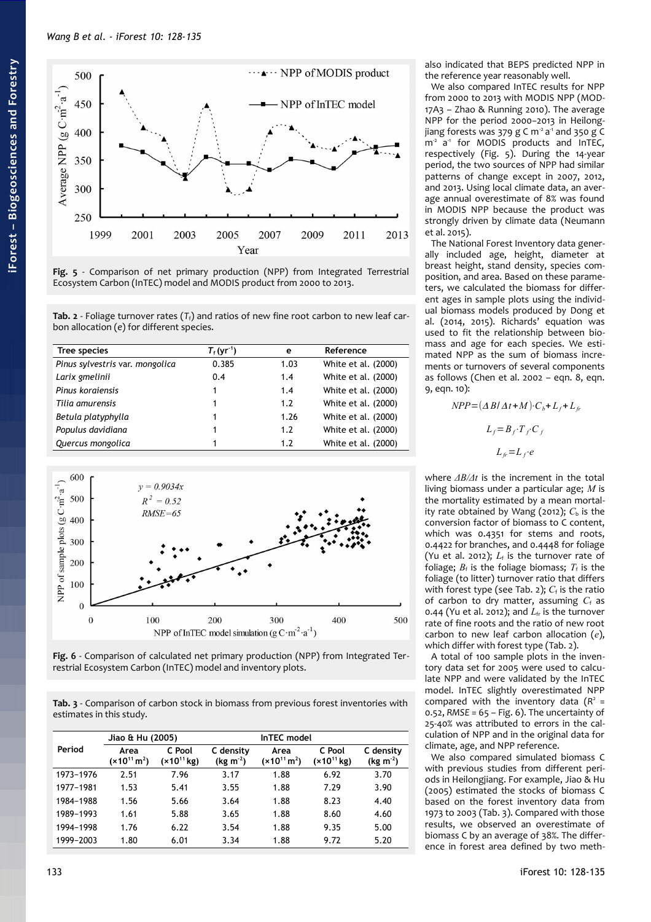

<span id="page-5-3"></span>**Fig. 5** - Comparison of net primary production (NPP) from Integrated Terrestrial Ecosystem Carbon (InTEC) model and MODIS product from 2000 to 2013.

<span id="page-5-2"></span>**Tab. 2** - Foliage turnover rates  $(T_f)$  and ratios of new fine root carbon to new leaf carbon allocation (*e*) for different species.

| Tree species                    | $T_{\rm f}$ (yr <sup>-1</sup> ) | е    | Reference           |
|---------------------------------|---------------------------------|------|---------------------|
| Pinus sylvestris var. mongolica | 0.385                           | 1.03 | White et al. (2000) |
| Larix gmelinii                  | 0.4                             | 1.4  | White et al. (2000) |
| Pinus koraiensis                |                                 | 1.4  | White et al. (2000) |
| Tilia amurensis                 |                                 | 1.2  | White et al. (2000) |
| Betula platyphylla              | 1                               | 1.26 | White et al. (2000) |
| Populus davidiana               |                                 | 1.2  | White et al. (2000) |
| Quercus mongolica               |                                 | 1.7  | White et al. (2000) |



<span id="page-5-1"></span>

<span id="page-5-0"></span>**Tab. 3** - Comparison of carbon stock in biomass from previous forest inventories with estimates in this study.

|           | Jiao & Hu (2005)         |                           |                         |                          |                           |                         |
|-----------|--------------------------|---------------------------|-------------------------|--------------------------|---------------------------|-------------------------|
| Period    | Area<br>$(x10^{11} m^2)$ | C Pool<br>$(x10^{11}$ kg) | C density<br>$(kg m-2)$ | Area<br>$(x10^{11} m^2)$ | C Pool<br>$(x10^{11}$ kg) | C density<br>$(kg m-2)$ |
| 1973-1976 | 2.51                     | 7.96                      | 3.17                    | 1.88                     | 6.92                      | 3.70                    |
| 1977-1981 | 1.53                     | 5.41                      | 3.55                    | 1.88                     | 7.29                      | 3.90                    |
| 1984-1988 | 1.56                     | 5.66                      | 3.64                    | 1.88                     | 8.23                      | 4.40                    |
| 1989-1993 | 1.61                     | 5.88                      | 3.65                    | 1.88                     | 8.60                      | 4.60                    |
| 1994-1998 | 1.76                     | 6.22                      | 3.54                    | 1.88                     | 9.35                      | 5.00                    |
| 1999-2003 | 1.80                     | 6.01                      | 3.34                    | 1.88                     | 9.72                      | 5.20                    |

also indicated that BEPS predicted NPP in the reference year reasonably well.

We also compared InTEC results for NPP from 2000 to 2013 with MODIS NPP (MOD-17A3 – Zhao & Running 2010). The average NPP for the period 2000−2013 in Heilongjiang forests was 379 g C  $m^2$  a<sup>-1</sup> and 350 g C m<sup>2</sup> a<sup>1</sup> for MODIS products and InTEC, respectively [\(Fig. 5\)](#page-5-3). During the 14-year period, the two sources of NPP had similar patterns of change except in 2007, 2012, and 2013. Using local climate data, an average annual overestimate of 8% was found in MODIS NPP because the product was strongly driven by climate data (Neumann et al. 2015).

The National Forest Inventory data generally included age, height, diameter at breast height, stand density, species composition, and area. Based on these parameters, we calculated the biomass for different ages in sample plots using the individual biomass models produced by Dong et al. (2014, 2015). Richards' equation was used to fit the relationship between biomass and age for each species. We estimated NPP as the sum of biomass increments or turnovers of several components as follows (Chen et al. 2002 – eqn. 8, eqn. 9, eqn. 10):

$$
NPP = (\Delta B/\Delta t + M) \cdot C_b + L_f + L_f,
$$
  
\n
$$
L_f = B_f \cdot T_f \cdot C_f
$$
  
\n
$$
L_f = L_f \cdot e
$$

where *ΔB/Δt* is the increment in the total living biomass under a particular age; *M* is the mortality estimated by a mean mortality rate obtained by Wang (2012);  $C<sub>b</sub>$  is the conversion factor of biomass to C content, which was 0.4351 for stems and roots, 0.4422 for branches, and 0.4448 for foliage (Yu et al. 2012);  $L_f$  is the turnover rate of foliage;  $B_f$  is the foliage biomass;  $T_f$  is the foliage (to litter) turnover ratio that differs with forest type (see [Tab. 2\)](#page-5-2);  $C_f$  is the ratio of carbon to dry matter, assuming  $C_f$  as 0.44 (Yu et al. 2012); and  $L_f$  is the turnover rate of fine roots and the ratio of new root carbon to new leaf carbon allocation (*e*), which differ with forest type [\(Tab. 2\)](#page-5-2).

A total of 100 sample plots in the inventory data set for 2005 were used to calculate NPP and were validated by the InTEC model. InTEC slightly overestimated NPP compared with the inventory data  $(R^2 =$ 0.52, *RMSE* = 65 – [Fig. 6\)](#page-5-1). The uncertainty of 25-40% was attributed to errors in the calculation of NPP and in the original data for climate, age, and NPP reference.

We also compared simulated biomass C with previous studies from different periods in Heilongjiang. For example, Jiao & Hu (2005) estimated the stocks of biomass C based on the forest inventory data from 1973 to 2003 [\(Tab. 3\)](#page-5-0). Compared with those results, we observed an overestimate of biomass C by an average of 38%. The difference in forest area defined by two meth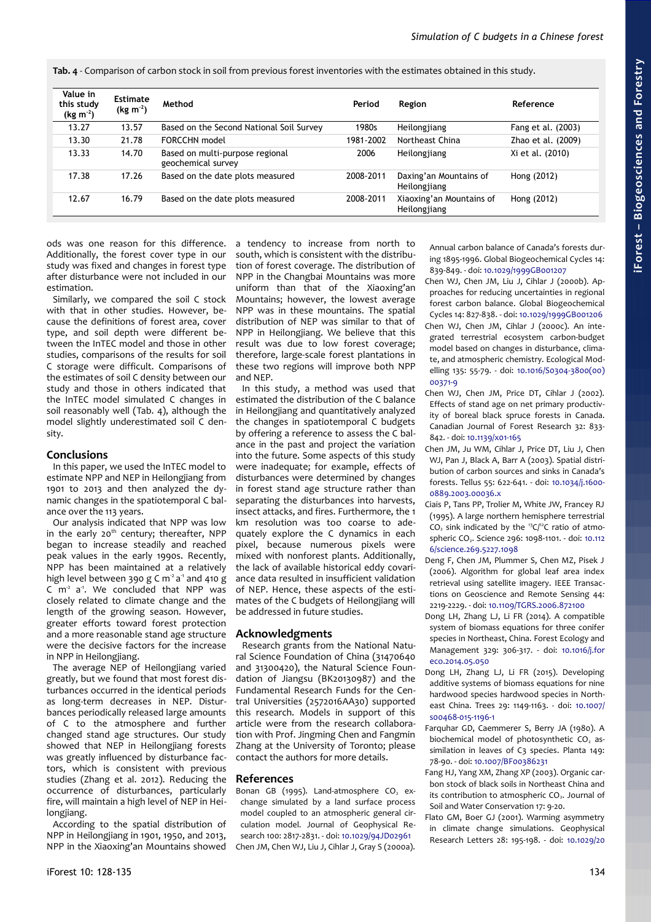<span id="page-6-0"></span>**Tab. 4** - Comparison of carbon stock in soil from previous forest inventories with the estimates obtained in this study.

| Value in<br>this study<br>$(kg m-2)$ | <b>Estimate</b><br>$(kg m-2)$ | Method                                                | Period    | Region                                   | Reference          |
|--------------------------------------|-------------------------------|-------------------------------------------------------|-----------|------------------------------------------|--------------------|
| 13.27                                | 13.57                         | Based on the Second National Soil Survey              | 1980s     | Heilongjiang                             | Fang et al. (2003) |
| 13.30                                | 21.78                         | FORCCHN model                                         | 1981-2002 | Northeast China                          | Zhao et al. (2009) |
| 13.33                                | 14.70                         | Based on multi-purpose regional<br>geochemical survey | 2006      | Heilongjiang                             | Xi et al. (2010)   |
| 17.38                                | 17.26                         | Based on the date plots measured                      | 2008-2011 | Daxing'an Mountains of<br>Heilongjiang   | Hong (2012)        |
| 12.67                                | 16.79                         | Based on the date plots measured                      | 2008-2011 | Xiaoxing'an Mountains of<br>Heilongjiang | Hong (2012)        |

ods was one reason for this difference. Additionally, the forest cover type in our study was fixed and changes in forest type after disturbance were not included in our estimation.

Similarly, we compared the soil C stock with that in other studies. However, because the definitions of forest area, cover type, and soil depth were different between the InTEC model and those in other studies, comparisons of the results for soil C storage were difficult. Comparisons of the estimates of soil C density between our study and those in others indicated that the InTEC model simulated C changes in soil reasonably well [\(Tab. 4\)](#page-6-0), although the model slightly underestimated soil C density.

## **Conclusions**

In this paper, we used the InTEC model to estimate NPP and NEP in Heilongjiang from 1901 to 2013 and then analyzed the dynamic changes in the spatiotemporal C balance over the 113 years.

Our analysis indicated that NPP was low in the early  $20<sup>th</sup>$  century; thereafter, NPP began to increase steadily and reached peak values in the early 1990s. Recently, NPP has been maintained at a relatively high level between 390 g C  $\text{m}^2$  a<sup>-1</sup> and 410 g  $C$  m<sup>2</sup> a<sup>1</sup>. We concluded that NPP was closely related to climate change and the length of the growing season. However, greater efforts toward forest protection and a more reasonable stand age structure were the decisive factors for the increase in NPP in Heilongjiang.

The average NEP of Heilongijang varied greatly, but we found that most forest disturbances occurred in the identical periods as long-term decreases in NEP. Disturbances periodically released large amounts of C to the atmosphere and further changed stand age structures. Our study showed that NEP in Heilongjiang forests was greatly influenced by disturbance factors, which is consistent with previous studies (Zhang et al. 2012). Reducing the occurrence of disturbances, particularly fire, will maintain a high level of NEP in Heilongjiang.

According to the spatial distribution of NPP in Heilongjiang in 1901, 1950, and 2013, NPP in the Xiaoxing'an Mountains showed a tendency to increase from north to south, which is consistent with the distribution of forest coverage. The distribution of NPP in the Changbai Mountains was more uniform than that of the Xiaoxing'an Mountains; however, the lowest average NPP was in these mountains. The spatial distribution of NEP was similar to that of NPP in Heilongjiang. We believe that this result was due to low forest coverage; therefore, large-scale forest plantations in these two regions will improve both NPP and NEP.

In this study, a method was used that estimated the distribution of the C balance in Heilongjiang and quantitatively analyzed the changes in spatiotemporal C budgets by offering a reference to assess the C balance in the past and project the variation into the future. Some aspects of this study were inadequate; for example, effects of disturbances were determined by changes in forest stand age structure rather than separating the disturbances into harvests, insect attacks, and fires. Furthermore, the 1 km resolution was too coarse to adequately explore the C dynamics in each pixel, because numerous pixels were mixed with nonforest plants. Additionally, the lack of available historical eddy covariance data resulted in insufficient validation of NEP. Hence, these aspects of the estimates of the C budgets of Heilongjiang will be addressed in future studies.

## **Acknowledgments**

Research grants from the National Natural Science Foundation of China (31470640 and 31300420), the Natural Science Foundation of Jiangsu (BK20130987) and the Fundamental Research Funds for the Central Universities (2572016AA30) supported this research. Models in support of this article were from the research collaboration with Prof. Jingming Chen and Fangmin Zhang at the University of Toronto; please contact the authors for more details.

## **References**

Bonan GB (1995). Land-atmosphere  $CO<sub>2</sub>$  exchange simulated by a land surface process model coupled to an atmospheric general circulation model. Journal of Geophysical Research 100: 2817-2831. - doi: [10.1029/94JD02961](http://dx.doi.org/10.1029/94JD02961) Chen JM, Chen WJ, Liu J, Cihlar J, Gray S (2000a).

Annual carbon balance of Canada's forests during 1895-1996. Global Biogeochemical Cycles 14: 839-849. - doi: [10.1029/1999GB001207](http://dx.doi.org/10.1029/1999GB001207)

Chen WJ, Chen JM, Liu J, Cihlar J (2000b). Approaches for reducing uncertainties in regional forest carbon balance. Global Biogeochemical Cycles 14: 827-838. - doi: [10.1029/1999GB001206](http://dx.doi.org/10.1029/1999GB001206)

Chen WJ, Chen JM, Cihlar J (2000c). An integrated terrestrial ecosystem carbon-budget model based on changes in disturbance, climate, and atmospheric chemistry. Ecological Modelling 135: 55-79. - doi: [10.1016/S0304-3800\(00\)](http://dx.doi.org/10.1016/S0304-3800(00)00371-9) [00371-9](http://dx.doi.org/10.1016/S0304-3800(00)00371-9)

- Chen WJ, Chen JM, Price DT, Cihlar J (2002). Effects of stand age on net primary productivity of boreal black spruce forests in Canada. Canadian Journal of Forest Research 32: 833- 842. - doi: [10.1139/x01-165](http://dx.doi.org/10.1139/x01-165)
- Chen JM, Ju WM, Cihlar J, Price DT, Liu J, Chen WJ, Pan J, Black A, Barr A (2003). Spatial distribution of carbon sources and sinks in Canada's forests. Tellus 55: 622-641. - doi: [10.1034/j.1600-](http://dx.doi.org/10.1034/j.1600-0889.2003.00036.x) [0889.2003.00036.x](http://dx.doi.org/10.1034/j.1600-0889.2003.00036.x)
- Ciais P, Tans PP, Trolier M, White JW, Francey RJ (1995). A large northern hemisphere terrestrial  $CO<sub>2</sub>$  sink indicated by the <sup>13</sup>C/<sup>12</sup>C ratio of atmo-spheric CO<sub>2</sub>. Science 296: 1098-1101. - doi: [10.112](http://dx.doi.org/10.1126/science.269.5227.1098) [6/science.269.5227.1098](http://dx.doi.org/10.1126/science.269.5227.1098)
- Deng F, Chen JM, Plummer S, Chen MZ, Pisek J (2006). Algorithm for global leaf area index retrieval using satellite imagery. IEEE Transactions on Geoscience and Remote Sensing 44: 2219-2229. - doi: [10.1109/TGRS.2006.872100](http://dx.doi.org/10.1109/TGRS.2006.872100)
- Dong LH, Zhang LJ, Li FR (2014). A compatible system of biomass equations for three conifer species in Northeast, China. Forest Ecology and Management 329: 306-317. - doi: [10.1016/j.for](http://dx.doi.org/10.1016/j.foreco.2014.05.050) [eco.2014.05.050](http://dx.doi.org/10.1016/j.foreco.2014.05.050)
- Dong LH, Zhang LJ, Li FR (2015). Developing additive systems of biomass equations for nine hardwood species hardwood species in Northeast China. Trees 29: 1149-1163. - doi: [10.1007/](http://dx.doi.org/10.1007/s00468-015-1196-1) [s00468-015-1196-1](http://dx.doi.org/10.1007/s00468-015-1196-1)
- Farquhar GD, Caemmerer S, Berry JA (1980). A biochemical model of photosynthetic  $CO<sub>2</sub>$  assimilation in leaves of C3 species. Planta 149: 78-90. - doi: [10.1007/BF00386231](http://dx.doi.org/10.1007/BF00386231)
- Fang HJ, Yang XM, Zhang XP (2003). Organic carbon stock of black soils in Northeast China and its contribution to atmospheric CO<sub>2</sub>. Journal of Soil and Water Conservation 17: 9-20.
- Flato GM, Boer GJ (2001). Warming asymmetry in climate change simulations. Geophysical Research Letters 28: 195-198. - doi: [10.1029/20](http://dx.doi.org/10.1029/2000GL012121)